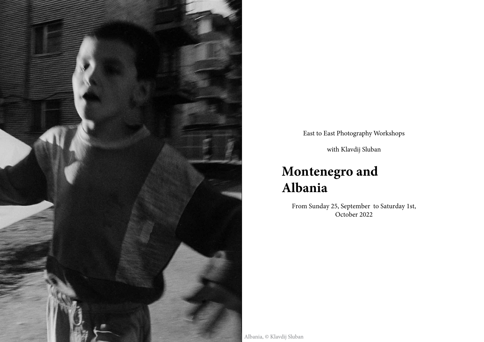

East to East Photography Workshops

with Klavdij Sluban

# **Montenegro and Albania**

From Sunday 25, September to Saturday 1st, October 2022

Albania, © Klavdij Sluban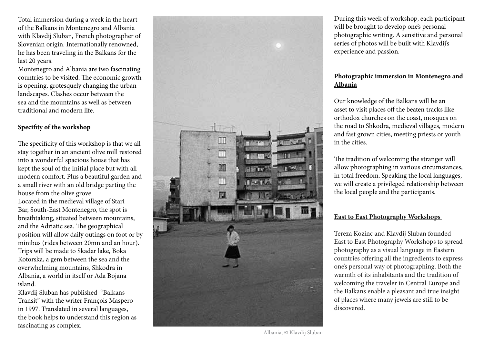Total immersion during a week in the heart of the Balkans in Montenegro and Albania with Klavdij Sluban, French photographer of Slovenian origin. Internationally renowned, he has been traveling in the Balkans for the last 20 years.

Montenegro and Albania are two fascinating countries to be visited. The economic growth is opening, grotesquely changing the urban landscapes. Clashes occur between the sea and the mountains as well as between traditional and modern life.

## **Specifity of the workshop**

The specificity of this workshop is that we all stay together in an ancient olive mill restored into a wonderful spacious house that has kept the soul of the initial place but with all modern comfort. Plus a beautiful garden and a small river with an old bridge parting the house from the olive grove.

Located in the medieval village of Stari Bar, South-East Montenegro, the spot is breathtaking, situated between mountains, and the Adriatic sea. The geographical position will allow daily outings on foot or by minibus (rides between 20mn and an hour). Trips will be made to Skadar lake, Boka Kotorska, a gem between the sea and the overwhelming mountains, Shkodra in Albania, a world in itself or Ada Bojana island.

Klavdij Sluban has published "Balkans-Transit" with the writer François Maspero in 1997. Translated in several languages, the book helps to understand this region as fascinating as complex.



During this week of workshop, each participant will be brought to develop one's personal photographic writing. A sensitive and personal series of photos will be built with Klavdij's experience and passion.

## **Photographic immersion in Montenegro and Albania**

Our knowledge of the Balkans will be an asset to visit places off the beaten tracks like orthodox churches on the coast, mosques on the road to Shkodra, medieval villages, modern and fast grown cities, meeting priests or youth in the cities.

The tradition of welcoming the stranger will allow photographing in various circumstances, in total freedom. Speaking the local languages, we will create a privileged relationship between the local people and the participants.

## **East to East Photography Workshops**

Tereza Kozinc and Klavdij Sluban founded East to East Photography Workshops to spread photography as a visual language in Eastern countries offering all the ingredients to express one's personal way of photographing. Both the warmth of its inhabitants and the tradition of welcoming the traveler in Central Europe and the Balkans enable a pleasant and true insight of places where many jewels are still to be discovered.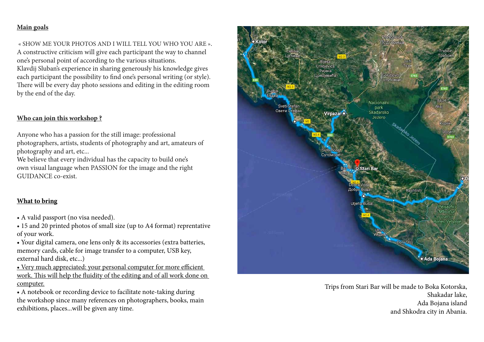## **Main goals**

 « SHOW ME YOUR PHOTOS AND I WILL TELL YOU WHO YOU ARE ». A constructive criticism will give each participant the way to channel one's personal point of according to the various situations. Klavdij Sluban's experience in sharing generously his knowledge gives each participant the possibility to find one's personal writing (or style). There will be every day photo sessions and editing in the editing room by the end of the day.

## **Who can join this workshop ?**

Anyone who has a passion for the still image: professional photographers, artists, students of photography and art, amateurs of photography and art, etc...

We believe that every individual has the capacity to build one's own visual language when PASSION for the image and the right GUIDANCE co-exist.

# **What to bring**

- A valid passport (no visa needed).
- 15 and 20 printed photos of small size (up to A4 format) reprentative of your work.
- Your digital camera, one lens only & its accessories (extra batteries, memory cards, cable for image transfer to a computer, USB key, external hard disk, etc...)
- Very much appreciated: your personal computer for more efficient work. This will help the fluidity of the editing and of all work done on computer.
- A notebook or recording device to facilitate note-taking during the workshop since many references on photographers, books, main exhibitions, places...will be given any time.



Trips from Stari Bar will be made to Boka Kotorska, Shakadar lake, Ada Bojana island and Shkodra city in Abania.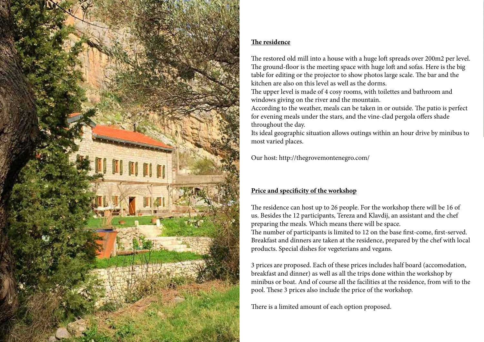

# **The residence**

The restored old mill into a house with a huge loft spreads over 200m2 per level. The ground-floor is the meeting space with huge loft and sofas. Here is the big table for editing or the projector to show photos large scale. The bar and the kitchen are also on this level as well as the dorms.

The upper level is made of 4 cosy rooms, with toilettes and bathroom and windows giving on the river and the mountain.

According to the weather, meals can be taken in or outside. The patio is perfect for evening meals under the stars, and the vine-clad pergola offers shade throughout the day.

Its ideal geographic situation allows outings within an hour drive by minibus to most varied places.

Our host: http://thegrovemontenegro.com/

# **Price and specificity of the workshop**

The residence can host up to 26 people. For the workshop there will be 16 of us. Besides the 12 participants, Tereza and Klavdij, an assistant and the chef preparing the meals. Which means there will be space. The number of participants is limited to 12 on the base first-come, first-served. Breakfast and dinners are taken at the residence, prepared by the chef with local products. Special dishes for vegeterians and vegans.

3 prices are proposed. Each of these prices includes half board (accomodation, breakfast and dinner) as well as all the trips done within the workshop by minibus or boat. And of course all the facilities at the residence, from wifi to the pool. These 3 prices also include the price of the workshop.

There is a limited amount of each option proposed.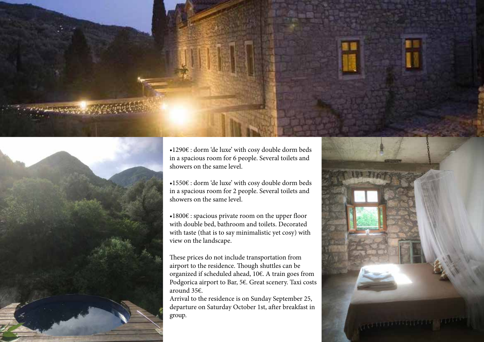



•1290€ : dorm 'de luxe' with cosy double dorm beds in a spacious room for 6 people. Several toilets and showers on the same level.

- •1550€ : dorm 'de luxe' with cosy double dorm beds in a spacious room for 2 people. Several toilets and showers on the same level.
- •1800€ : spacious private room on the upper floor with double bed, bathroom and toilets. Decorated with taste (that is to say minimalistic yet cosy) with view on the landscape.

These prices do not include transportation from airport to the residence. Though shuttles can be organized if scheduled ahead, 10€. A train goes from Podgorica airport to Bar, 5€. Great scenery. Taxi costs around 35€.

Arrival to the residence is on Sunday September 25, departure on Saturday October 1st, after breakfast in group.

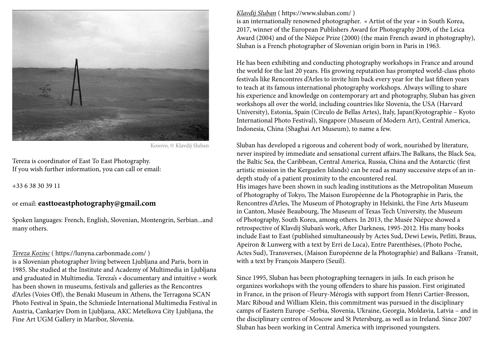

Kosovo, © Klavdij Sluban

Tereza is coordinator of East To East Photography. If you wish further information, you can call or email:

+33 6 38 30 39 11

# or email: **easttoeastphotography@gmail.com**

Spoken languages: French, English, Slovenian, Montengrin, Serbian...and many others.

#### *Tereza Kozinc* ( https://lunyna.carbonmade.com/ )

is a Slovenian photographer living between Ljubljana and Paris, born in 1985. She studied at the Institute and Academy of Multimedia in Ljubljana and graduated in Multimedia. Tereza's « documentary and intuitive » work has been shown in museums, festivals and galleries as the Rencontres d'Arles (Voies Off), the Benaki Museum in Athens, the Terragona SCAN Photo Festival in Spain, the Schmiede International Multimedia Festival in Austria, Cankarjev Dom in Ljubljana, AKC Metelkova City Ljubljana, the Fine Art UGM Gallery in Maribor, Slovenia.

#### *Klavdij Sluban* ( https://www.sluban.com/ )

is an internationally renowned photographer. « Artist of the year » in South Korea, 2017, winner of the European Publishers Award for Photography 2009, of the Leica Award (2004) and of the Niépce Prize (2000) (the main French award in photography), Sluban is a French photographer of Slovenian origin born in Paris in 1963.

He has been exhibiting and conducting photography workshops in France and around the world for the last 20 years. His growing reputation has prompted world-class photo festivals like Rencontres d'Arles to invite him back every year for the last fifteen years to teach at its famous international photography workshops. Always willing to share his experience and knowledge on contemporary art and photography, Sluban has given workshops all over the world, including countries like Slovenia, the USA (Harvard University), Estonia, Spain (Circulo de Bellas Artes), Italy, Japan(Kyotographie – Kyoto International Photo Festival), Singapore (Museum of Modern Art), Central America, Indonesia, China (Shaghai Art Museum), to name a few.

Sluban has developed a rigorous and coherent body of work, nourished by literature, never inspired by immediate and sensational current affairs.The Balkans, the Black Sea, the Baltic Sea, the Caribbean, Central America, Russia, China and the Antarctic (first artistic mission in the Kerguelen Islands) can be read as many successive steps of an indepth study of a patient proximity to the encountered real.

His images have been shown in such leading institutions as the Metropolitan Museum of Photography of Tokyo, The Maison Européenne de la Photographie in Paris, the Rencontres d'Arles, The Museum of Photography in Helsinki, the Fine Arts Museum in Canton, Musée Beaubourg, The Museum of Texas Tech University, the Museum of Photography, South Korea, among others. In 2013, the Musée Niépce showed a retrospective of Klavdij Sluban's work, After Darkness, 1995-2012. His many books include East to East (published simultaneously by Actes Sud, Dewi Lewis, Petliti, Braus, Apeiron & Lunwerg with a text by Erri de Luca), Entre Parenthèses, (Photo Poche, Actes Sud), Transverses, (Maison Européenne de la Photographie) and Balkans -Transit, with a text by François Maspero (Seuil).

Since 1995, Sluban has been photographing teenagers in jails. In each prison he organizes workshops with the young offenders to share his passion. First originated in France, in the prison of Fleury-Mérogis with support from Henri Cartier-Bresson, Marc Riboud and William Klein, this commitment was pursued in the disciplinary camps of Eastern Europe –Serbia, Slovenia, Ukraine, Georgia, Moldavia, Latvia – and in the disciplinary centres of Moscow and St Petersburg, as well as in Ireland. Since 2007 Sluban has been working in Central America with imprisoned youngsters.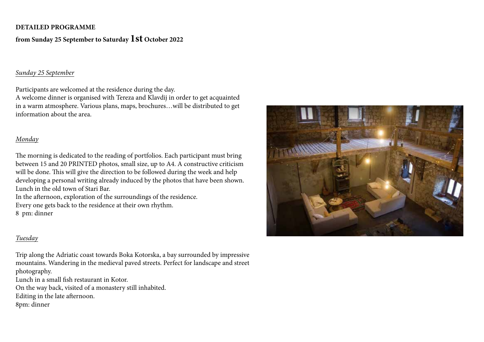#### **DETAILED PROGRAMME**

## **from Sunday 25 September to Saturday 1st October 20<sup>22</sup>**

#### *Sunday 25 September*

Participants are welcomed at the residence during the day.

A welcome dinner is organised with Tereza and Klavdij in order to get acquainted in a warm atmosphere. Various plans, maps, brochures…will be distributed to get information about the area.

#### *Monday*

The morning is dedicated to the reading of portfolios. Each participant must bring between 15 and 20 PRINTED photos, small size, up to A4. A constructive criticism will be done. This will give the direction to be followed during the week and help developing a personal writing already induced by the photos that have been shown. Lunch in the old town of Stari Bar.

In the afternoon, exploration of the surroundings of the residence. Every one gets back to the residence at their own rhythm. 8 pm: dinner

#### *Tuesday*

Trip along the Adriatic coast towards Boka Kotorska, a bay surrounded by impressive mountains. Wandering in the medieval paved streets. Perfect for landscape and street photography.

Lunch in a small fish restaurant in Kotor.

On the way back, visited of a monastery still inhabited.

Editing in the late afternoon.

8pm: dinner

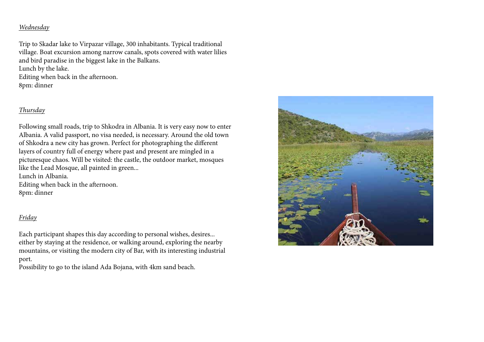## *Wednesday*

Trip to Skadar lake to Virpazar village, 300 inhabitants. Typical traditional village. Boat excursion among narrow canals, spots covered with water lilies and bird paradise in the biggest lake in the Balkans. Lunch by the lake.

Editing when back in the afternoon. 8pm: dinner

# *Thursday*

Following small roads, trip to Shkodra in Albania. It is very easy now to enter Albania. A valid passport, no visa needed, is necessary. Around the old town of Shkodra a new city has grown. Perfect for photographing the different layers of country full of energy where past and present are mingled in a picturesque chaos. Will be visited: the castle, the outdoor market, mosques like the Lead Mosque, all painted in green...

Lunch in Albania.

Editing when back in the afternoon. 8pm: dinner

# *Friday*

Each participant shapes this day according to personal wishes, desires... either by staying at the residence, or walking around, exploring the nearby mountains, or visiting the modern city of Bar, with its interesting industrial port.

Possibility to go to the island Ada Bojana, with 4km sand beach.